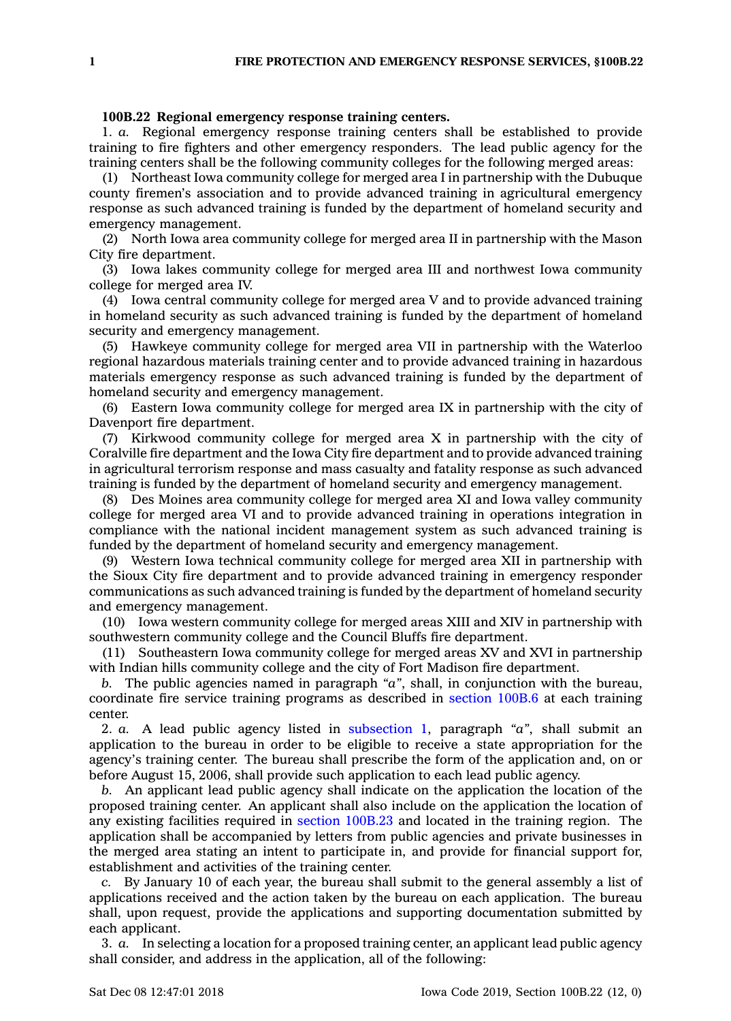## **100B.22 Regional emergency response training centers.**

1. *a.* Regional emergency response training centers shall be established to provide training to fire fighters and other emergency responders. The lead public agency for the training centers shall be the following community colleges for the following merged areas:

(1) Northeast Iowa community college for merged area I in partnership with the Dubuque county firemen's association and to provide advanced training in agricultural emergency response as such advanced training is funded by the department of homeland security and emergency management.

(2) North Iowa area community college for merged area II in partnership with the Mason City fire department.

(3) Iowa lakes community college for merged area III and northwest Iowa community college for merged area IV.

(4) Iowa central community college for merged area V and to provide advanced training in homeland security as such advanced training is funded by the department of homeland security and emergency management.

(5) Hawkeye community college for merged area VII in partnership with the Waterloo regional hazardous materials training center and to provide advanced training in hazardous materials emergency response as such advanced training is funded by the department of homeland security and emergency management.

(6) Eastern Iowa community college for merged area IX in partnership with the city of Davenport fire department.

(7) Kirkwood community college for merged area X in partnership with the city of Coralville fire department and the Iowa City fire department and to provide advanced training in agricultural terrorism response and mass casualty and fatality response as such advanced training is funded by the department of homeland security and emergency management.

(8) Des Moines area community college for merged area XI and Iowa valley community college for merged area VI and to provide advanced training in operations integration in compliance with the national incident management system as such advanced training is funded by the department of homeland security and emergency management.

(9) Western Iowa technical community college for merged area XII in partnership with the Sioux City fire department and to provide advanced training in emergency responder communications as such advanced training is funded by the department of homeland security and emergency management.

(10) Iowa western community college for merged areas XIII and XIV in partnership with southwestern community college and the Council Bluffs fire department.

(11) Southeastern Iowa community college for merged areas XV and XVI in partnership with Indian hills community college and the city of Fort Madison fire department.

*b.* The public agencies named in paragraph *"a"*, shall, in conjunction with the bureau, coordinate fire service training programs as described in [section](https://www.legis.iowa.gov/docs/code/100B.6.pdf) 100B.6 at each training center.

2. *a.* A lead public agency listed in [subsection](https://www.legis.iowa.gov/docs/code/100B.22.pdf) 1, paragraph *"a"*, shall submit an application to the bureau in order to be eligible to receive <sup>a</sup> state appropriation for the agency's training center. The bureau shall prescribe the form of the application and, on or before August 15, 2006, shall provide such application to each lead public agency.

*b.* An applicant lead public agency shall indicate on the application the location of the proposed training center. An applicant shall also include on the application the location of any existing facilities required in section [100B.23](https://www.legis.iowa.gov/docs/code/100B.23.pdf) and located in the training region. The application shall be accompanied by letters from public agencies and private businesses in the merged area stating an intent to participate in, and provide for financial support for, establishment and activities of the training center.

*c.* By January 10 of each year, the bureau shall submit to the general assembly <sup>a</sup> list of applications received and the action taken by the bureau on each application. The bureau shall, upon request, provide the applications and supporting documentation submitted by each applicant.

3. *a.* In selecting <sup>a</sup> location for <sup>a</sup> proposed training center, an applicant lead public agency shall consider, and address in the application, all of the following: